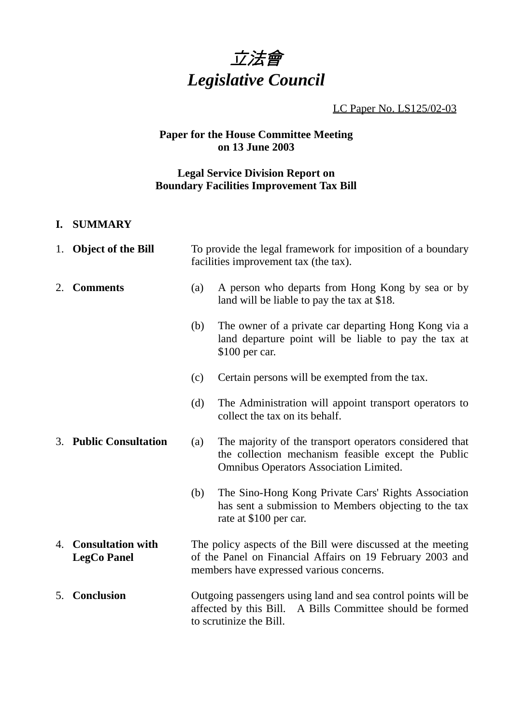

LC Paper No. LS125/02-03

# **Paper for the House Committee Meeting on 13 June 2003**

# **Legal Service Division Report on Boundary Facilities Improvement Tax Bill**

## **I. SUMMARY**

|    | 1. Object of the Bill                          | To provide the legal framework for imposition of a boundary<br>facilities improvement tax (the tax).                                                                  |                                                                                                                                                                 |
|----|------------------------------------------------|-----------------------------------------------------------------------------------------------------------------------------------------------------------------------|-----------------------------------------------------------------------------------------------------------------------------------------------------------------|
| 2. | <b>Comments</b>                                | (a)                                                                                                                                                                   | A person who departs from Hong Kong by sea or by<br>land will be liable to pay the tax at \$18.                                                                 |
|    |                                                | (b)                                                                                                                                                                   | The owner of a private car departing Hong Kong via a<br>land departure point will be liable to pay the tax at<br>$$100$ per car.                                |
|    |                                                | (c)                                                                                                                                                                   | Certain persons will be exempted from the tax.                                                                                                                  |
|    |                                                | (d)                                                                                                                                                                   | The Administration will appoint transport operators to<br>collect the tax on its behalf.                                                                        |
|    | 3. Public Consultation                         | (a)                                                                                                                                                                   | The majority of the transport operators considered that<br>the collection mechanism feasible except the Public<br><b>Omnibus Operators Association Limited.</b> |
|    |                                                | (b)                                                                                                                                                                   | The Sino-Hong Kong Private Cars' Rights Association<br>has sent a submission to Members objecting to the tax<br>rate at \$100 per car.                          |
| 4. | <b>Consultation with</b><br><b>LegCo Panel</b> | The policy aspects of the Bill were discussed at the meeting<br>of the Panel on Financial Affairs on 19 February 2003 and<br>members have expressed various concerns. |                                                                                                                                                                 |
|    | 5. Conclusion                                  | Outgoing passengers using land and sea control points will be<br>A Bills Committee should be formed<br>affected by this Bill.<br>to scrutinize the Bill.              |                                                                                                                                                                 |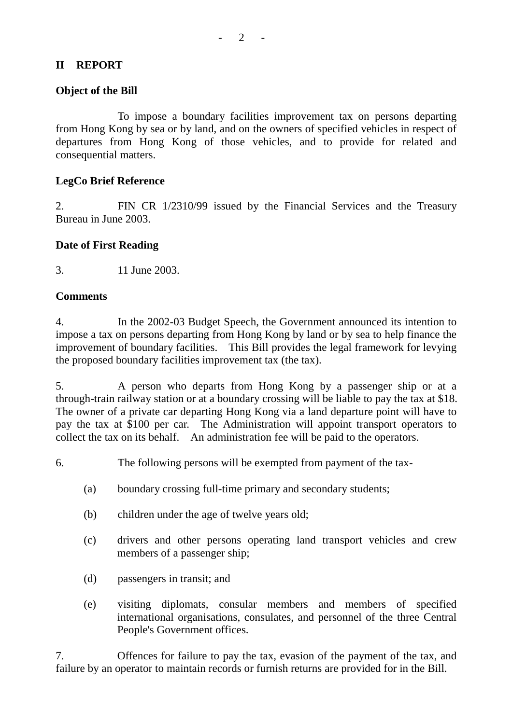#### **II REPORT**

#### **Object of the Bill**

To impose a boundary facilities improvement tax on persons departing from Hong Kong by sea or by land, and on the owners of specified vehicles in respect of departures from Hong Kong of those vehicles, and to provide for related and consequential matters.

#### **LegCo Brief Reference**

2. FIN CR 1/2310/99 issued by the Financial Services and the Treasury Bureau in June 2003.

#### **Date of First Reading**

3. 11 June 2003.

#### **Comments**

4. In the 2002-03 Budget Speech, the Government announced its intention to impose a tax on persons departing from Hong Kong by land or by sea to help finance the improvement of boundary facilities. This Bill provides the legal framework for levying the proposed boundary facilities improvement tax (the tax).

5. A person who departs from Hong Kong by a passenger ship or at a through-train railway station or at a boundary crossing will be liable to pay the tax at \$18. The owner of a private car departing Hong Kong via a land departure point will have to pay the tax at \$100 per car. The Administration will appoint transport operators to collect the tax on its behalf. An administration fee will be paid to the operators.

6. The following persons will be exempted from payment of the tax-

- (a) boundary crossing full-time primary and secondary students;
- (b) children under the age of twelve years old;
- (c) drivers and other persons operating land transport vehicles and crew members of a passenger ship;
- (d) passengers in transit; and
- (e) visiting diplomats, consular members and members of specified international organisations, consulates, and personnel of the three Central People's Government offices.

7. Offences for failure to pay the tax, evasion of the payment of the tax, and failure by an operator to maintain records or furnish returns are provided for in the Bill.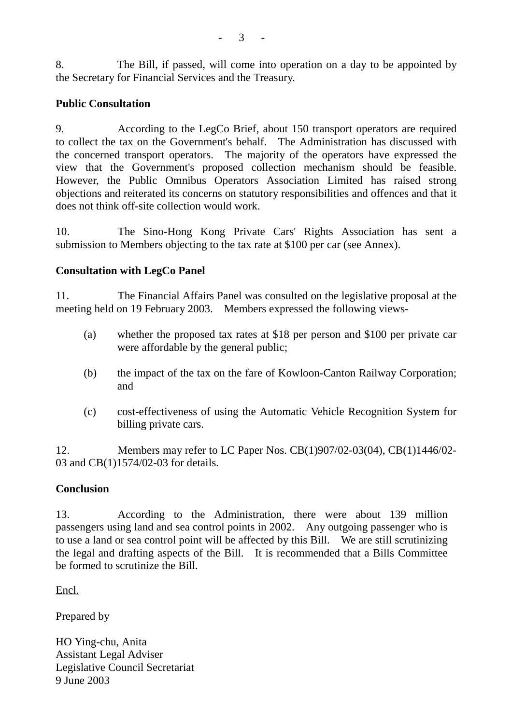8. The Bill, if passed, will come into operation on a day to be appointed by the Secretary for Financial Services and the Treasury.

# **Public Consultation**

9. According to the LegCo Brief, about 150 transport operators are required to collect the tax on the Government's behalf. The Administration has discussed with the concerned transport operators. The majority of the operators have expressed the view that the Government's proposed collection mechanism should be feasible. However, the Public Omnibus Operators Association Limited has raised strong objections and reiterated its concerns on statutory responsibilities and offences and that it does not think off-site collection would work.

10. The Sino-Hong Kong Private Cars' Rights Association has sent a submission to Members objecting to the tax rate at \$100 per car (see Annex).

# **Consultation with LegCo Panel**

11. The Financial Affairs Panel was consulted on the legislative proposal at the meeting held on 19 February 2003. Members expressed the following views-

- (a) whether the proposed tax rates at \$18 per person and \$100 per private car were affordable by the general public;
- (b) the impact of the tax on the fare of Kowloon-Canton Railway Corporation; and
- (c) cost-effectiveness of using the Automatic Vehicle Recognition System for billing private cars.

12. Members may refer to LC Paper Nos. CB(1)907/02-03(04), CB(1)1446/02- 03 and CB(1)1574/02-03 for details.

## **Conclusion**

13. According to the Administration, there were about 139 million passengers using land and sea control points in 2002. Any outgoing passenger who is to use a land or sea control point will be affected by this Bill. We are still scrutinizing the legal and drafting aspects of the Bill. It is recommended that a Bills Committee be formed to scrutinize the Bill.

Encl.

Prepared by

HO Ying-chu, Anita Assistant Legal Adviser Legislative Council Secretariat 9 June 2003